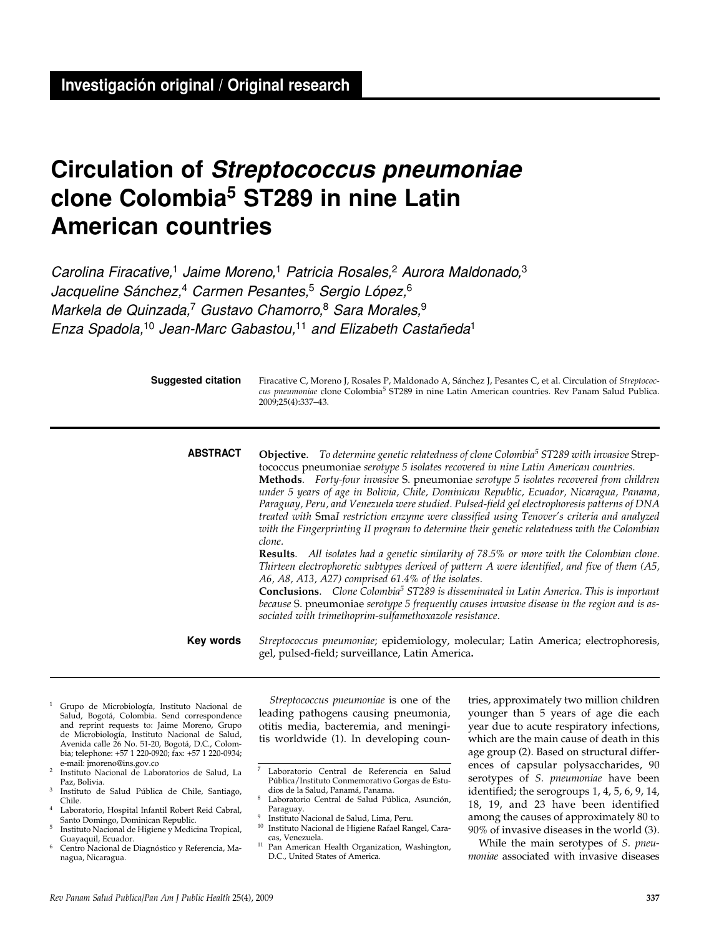# **Circulation of Streptococcus pneumoniae clone Colombia5 ST289 in nine Latin American countries**

Carolina Firacative,<sup>1</sup> Jaime Moreno,<sup>1</sup> Patricia Rosales,<sup>2</sup> Aurora Maldonado,<sup>3</sup> Jacqueline Sánchez,<sup>4</sup> Carmen Pesantes,<sup>5</sup> Sergio López,<sup>6</sup> Markela de Quinzada,<sup>7</sup> Gustavo Chamorro,<sup>8</sup> Sara Morales, 9 Enza Spadola,<sup>10</sup> Jean-Marc Gabastou,<sup>11</sup> and Elizabeth Castañeda<sup>1</sup>

| <b>Suggested citation</b> | Firacative C, Moreno J, Rosales P, Maldonado A, Sánchez J, Pesantes C, et al. Circulation of Streptococ-<br>cus pneumoniae clone Colombia <sup>5</sup> ST289 in nine Latin American countries. Rev Panam Salud Publica.<br>2009:25(4):337-43. |
|---------------------------|-----------------------------------------------------------------------------------------------------------------------------------------------------------------------------------------------------------------------------------------------|
|                           |                                                                                                                                                                                                                                               |

**Objective**. *To determine genetic relatedness of clone Colombia5 ST289 with invasive* Streptococcus pneumoniae *serotype 5 isolates recovered in nine Latin American countries.*  **Methods**. *Forty-four invasive* S. pneumoniae *serotype 5 isolates recovered from children under 5 years of age in Bolivia, Chile, Dominican Republic, Ecuador, Nicaragua, Panama, Paraguay, Peru, and Venezuela were studied. Pulsed-field gel electrophoresis patterns of DNA treated with* Sma*I restriction enzyme were classified using Tenover's criteria and analyzed with the Fingerprinting II program to determine their genetic relatedness with the Colombian clone.* **Results**. *All isolates had a genetic similarity of 78.5% or more with the Colombian clone.* **ABSTRACT**

*Thirteen electrophoretic subtypes derived of pattern A were identified, and five of them (A5, A6, A8, A13, A27) comprised 61.4% of the isolates.* 

**Conclusions**. *Clone Colombia5 ST289 is disseminated in Latin America. This is important because* S. pneumoniae *serotype 5 frequently causes invasive disease in the region and is associated with trimethoprim-sulfamethoxazole resistance.*

*Streptococcus pneumoniae*; epidemiology, molecular; Latin America; electrophoresis, gel, pulsed-field; surveillance, Latin America**. Key words**

- <sup>1</sup> Grupo de Microbiología, Instituto Nacional de Salud, Bogotá, Colombia. Send correspondence and reprint requests to: Jaime Moreno, Grupo de Microbiología, Instituto Nacional de Salud, Avenida calle 26 No. 51-20, Bogotá, D.C., Colombia; telephone: +57 1 220-0920; fax: +57 1 220-0934; e-mail: jmoreno@ins.gov.co
- <sup>2</sup> Instituto Nacional de Laboratorios de Salud, La Paz, Bolivia.
- <sup>3</sup> Instituto de Salud Pública de Chile, Santiago, Chile.
- Laboratorio, Hospital Infantil Robert Reid Cabral, Santo Domingo, Dominican Republic.
- <sup>5</sup> Instituto Nacional de Higiene y Medicina Tropical, Guayaquil, Ecuador.
- <sup>6</sup> Centro Nacional de Diagnóstico y Referencia, Managua, Nicaragua.

*Streptococcus pneumoniae* is one of the leading pathogens causing pneumonia, otitis media, bacteremia, and meningitis worldwide (1). In developing coun-

- Instituto Nacional de Salud, Lima, Peru. <sup>10</sup> Instituto Nacional de Higiene Rafael Rangel, Cara-
- cas, Venezuela. <sup>11</sup> Pan American Health Organization, Washington, D.C., United States of America.

tries, approximately two million children younger than 5 years of age die each year due to acute respiratory infections, which are the main cause of death in this age group (2). Based on structural differences of capsular polysaccharides, 90 serotypes of *S. pneumoniae* have been identified; the serogroups 1, 4, 5, 6, 9, 14, 18, 19, and 23 have been identified among the causes of approximately 80 to 90% of invasive diseases in the world (3).

While the main serotypes of *S. pneumoniae* associated with invasive diseases

<sup>7</sup> Laboratorio Central de Referencia en Salud Pública/Instituto Conmemorativo Gorgas de Estudios de la Salud, Panamá, Panama.

Laboratorio Central de Salud Pública, Asunción, Paraguay.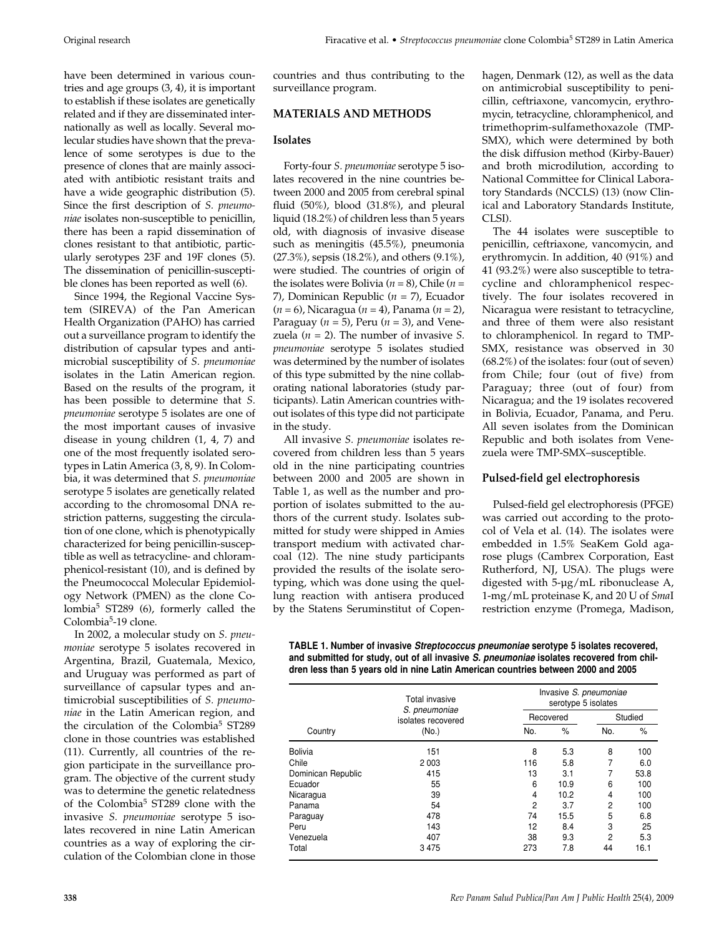have been determined in various countries and age groups (3, 4), it is important to establish if these isolates are genetically related and if they are disseminated internationally as well as locally. Several molecular studies have shown that the prevalence of some serotypes is due to the presence of clones that are mainly associated with antibiotic resistant traits and have a wide geographic distribution (5). Since the first description of *S. pneumoniae* isolates non-susceptible to penicillin, there has been a rapid dissemination of clones resistant to that antibiotic, particularly serotypes 23F and 19F clones (5). The dissemination of penicillin-susceptible clones has been reported as well (6).

Since 1994, the Regional Vaccine System (SIREVA) of the Pan American Health Organization (PAHO) has carried out a surveillance program to identify the distribution of capsular types and antimicrobial susceptibility of *S. pneumoniae* isolates in the Latin American region. Based on the results of the program, it has been possible to determine that *S. pneumoniae* serotype 5 isolates are one of the most important causes of invasive disease in young children (1, 4, 7) and one of the most frequently isolated serotypes in Latin America (3, 8, 9). In Colombia, it was determined that *S. pneumoniae* serotype 5 isolates are genetically related according to the chromosomal DNA restriction patterns, suggesting the circulation of one clone, which is phenotypically characterized for being penicillin-susceptible as well as tetracycline- and chloramphenicol-resistant (10), and is defined by the Pneumococcal Molecular Epidemiology Network (PMEN) as the clone Colombia5 ST289 (6), formerly called the Colombia<sup>5</sup>-19 clone.

In 2002, a molecular study on *S. pneumoniae* serotype 5 isolates recovered in Argentina, Brazil, Guatemala, Mexico, and Uruguay was performed as part of surveillance of capsular types and antimicrobial susceptibilities of *S. pneumoniae* in the Latin American region*,* and the circulation of the Colombia<sup>5</sup> ST289 clone in those countries was established (11). Currently, all countries of the region participate in the surveillance program. The objective of the current study was to determine the genetic relatedness of the Colombia<sup>5</sup> ST289 clone with the invasive *S. pneumoniae* serotype 5 isolates recovered in nine Latin American countries as a way of exploring the circulation of the Colombian clone in those

countries and thus contributing to the surveillance program.

## **MATERIALS AND METHODS**

## **Isolates**

Forty-four *S. pneumoniae* serotype 5 isolates recovered in the nine countries between 2000 and 2005 from cerebral spinal fluid (50%), blood (31.8%), and pleural liquid (18.2%) of children less than 5 years old, with diagnosis of invasive disease such as meningitis (45.5%), pneumonia (27.3%), sepsis (18.2%), and others (9.1%), were studied. The countries of origin of the isolates were Bolivia (*n* = 8), Chile (*n* = 7), Dominican Republic (*n* = 7), Ecuador (*n* = 6), Nicaragua (*n* = 4), Panama (*n* = 2), Paraguay (*n* = 5), Peru (*n* = 3), and Venezuela  $(n = 2)$ . The number of invasive *S*. *pneumoniae* serotype 5 isolates studied was determined by the number of isolates of this type submitted by the nine collaborating national laboratories (study participants). Latin American countries without isolates of this type did not participate in the study.

All invasive *S. pneumoniae* isolates recovered from children less than 5 years old in the nine participating countries between 2000 and 2005 are shown in Table 1, as well as the number and proportion of isolates submitted to the authors of the current study. Isolates submitted for study were shipped in Amies transport medium with activated charcoal (12). The nine study participants provided the results of the isolate serotyping, which was done using the quellung reaction with antisera produced by the Statens Seruminstitut of Copenhagen, Denmark (12), as well as the data on antimicrobial susceptibility to penicillin, ceftriaxone, vancomycin, erythromycin, tetracycline, chloramphenicol, and trimethoprim-sulfamethoxazole (TMP-SMX), which were determined by both the disk diffusion method (Kirby-Bauer) and broth microdilution, according to National Committee for Clinical Laboratory Standards (NCCLS) (13) (now Clinical and Laboratory Standards Institute, CLSI).

The 44 isolates were susceptible to penicillin, ceftriaxone, vancomycin, and erythromycin. In addition, 40 (91%) and 41 (93.2%) were also susceptible to tetracycline and chloramphenicol respectively. The four isolates recovered in Nicaragua were resistant to tetracycline, and three of them were also resistant to chloramphenicol. In regard to TMP-SMX, resistance was observed in 30 (68.2%) of the isolates: four (out of seven) from Chile; four (out of five) from Paraguay; three (out of four) from Nicaragua; and the 19 isolates recovered in Bolivia, Ecuador, Panama, and Peru. All seven isolates from the Dominican Republic and both isolates from Venezuela were TMP-SMX–susceptible.

# **Pulsed-field gel electrophoresis**

Pulsed-field gel electrophoresis (PFGE) was carried out according to the protocol of Vela et al. (14). The isolates were embedded in 1.5% SeaKem Gold agarose plugs (Cambrex Corporation, East Rutherford, NJ, USA). The plugs were digested with 5-µg/mL ribonuclease A, 1-mg/mL proteinase K, and 20 U of *Sma*I restriction enzyme (Promega, Madison,

**TABLE 1. Number of invasive Streptococcus pneumoniae serotype 5 isolates recovered, and submitted for study, out of all invasive S. pneumoniae isolates recovered from children less than 5 years old in nine Latin American countries between 2000 and 2005**

|                    | Total invasive<br>S. pneumoniae<br>isolates recovered<br>(No.) |                | Invasive S. pneumoniae<br>serotype 5 isolates |     |         |  |
|--------------------|----------------------------------------------------------------|----------------|-----------------------------------------------|-----|---------|--|
|                    |                                                                |                | Recovered                                     |     | Studied |  |
| Country            |                                                                | No.            | $\%$                                          | No. | $\%$    |  |
| <b>Bolivia</b>     | 151                                                            | 8              | 5.3                                           | 8   | 100     |  |
| Chile              | 2 0 0 3                                                        | 116            | 5.8                                           |     | 6.0     |  |
| Dominican Republic | 415                                                            | 13             | 3.1                                           |     | 53.8    |  |
| Ecuador            | 55                                                             | 6              | 10.9                                          | 6   | 100     |  |
| Nicaragua          | 39                                                             | 4              | 10.2                                          | 4   | 100     |  |
| Panama             | 54                                                             | $\overline{2}$ | 3.7                                           | 2   | 100     |  |
| Paraguay           | 478                                                            | 74             | 15.5                                          | 5   | 6.8     |  |
| Peru               | 143                                                            | 12             | 8.4                                           | 3   | 25      |  |
| Venezuela          | 407                                                            | 38             | 9.3                                           | 2   | 5.3     |  |
| Total              | 3475                                                           | 273            | 7.8                                           | 44  | 16.1    |  |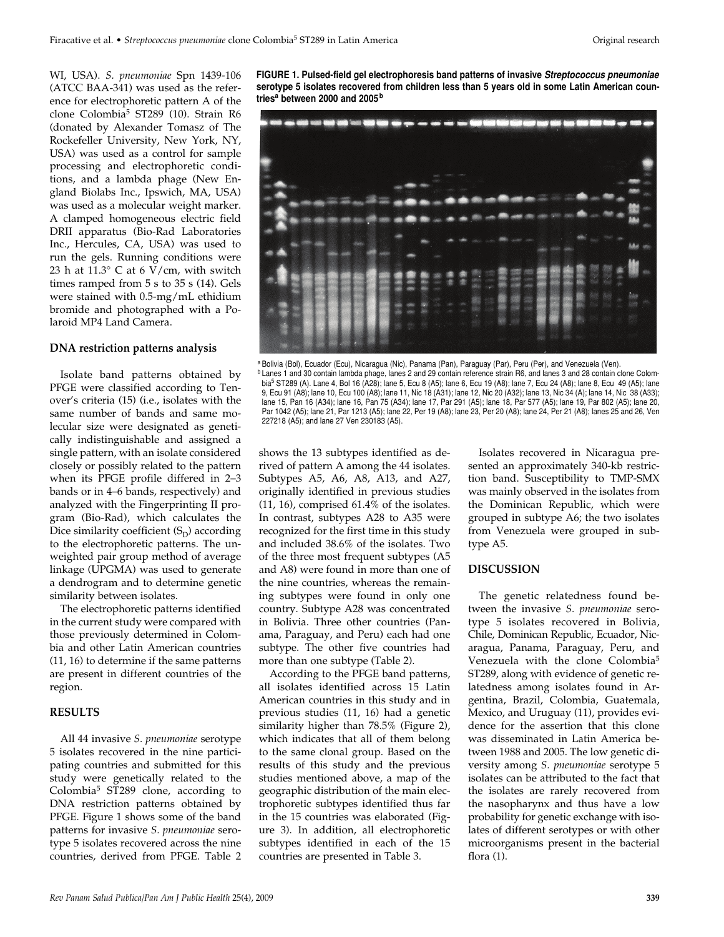WI, USA). *S. pneumoniae* Spn 1439-106 (ATCC BAA-341) was used as the reference for electrophoretic pattern A of the clone Colombia<sup>5</sup> ST289 (10). Strain R6 (donated by Alexander Tomasz of The Rockefeller University, New York, NY, USA) was used as a control for sample processing and electrophoretic conditions, and a lambda phage (New England Biolabs Inc., Ipswich, MA, USA) was used as a molecular weight marker. A clamped homogeneous electric field DRII apparatus (Bio-Rad Laboratories Inc., Hercules, CA, USA) was used to run the gels. Running conditions were 23 h at 11.3° C at 6 V/cm, with switch times ramped from 5 s to 35 s (14). Gels were stained with 0.5-mg/mL ethidium bromide and photographed with a Polaroid MP4 Land Camera.

#### **DNA restriction patterns analysis**

Isolate band patterns obtained by PFGE were classified according to Tenover's criteria (15) (i.e., isolates with the same number of bands and same molecular size were designated as genetically indistinguishable and assigned a single pattern, with an isolate considered closely or possibly related to the pattern when its PFGE profile differed in 2–3 bands or in 4–6 bands, respectively) and analyzed with the Fingerprinting II program (Bio-Rad), which calculates the Dice similarity coefficient  $(S_D)$  according to the electrophoretic patterns. The unweighted pair group method of average linkage (UPGMA) was used to generate a dendrogram and to determine genetic similarity between isolates.

The electrophoretic patterns identified in the current study were compared with those previously determined in Colombia and other Latin American countries (11, 16) to determine if the same patterns are present in different countries of the region.

#### **RESULTS**

All 44 invasive *S. pneumoniae* serotype 5 isolates recovered in the nine participating countries and submitted for this study were genetically related to the Colombia<sup>5</sup> ST289 clone, according to DNA restriction patterns obtained by PFGE. Figure 1 shows some of the band patterns for invasive *S. pneumoniae* serotype 5 isolates recovered across the nine countries, derived from PFGE. Table 2 **FIGURE 1. Pulsed-field gel electrophoresis band patterns of invasive Streptococcus pneumoniae serotype 5 isolates recovered from children less than 5 years old in some Latin American countries<sup>a</sup> between 2000 and 2005 <sup>b</sup>**



a Bolivia (Bol), Ecuador (Ecu), Nicaragua (Nic), Panama (Pan), Paraguay (Par), Peru (Per), and Venezuela (Ven). **b Lanes 1 and 30 contain lambda phage, lanes 2 and 29 contain reference strain R6, and lanes 3 and 28 contain clone Colom**bia5 ST289 (A). Lane 4, Bol 16 (A28); lane 5, Ecu 8 (A5); lane 6, Ecu 19 (A8); lane 7, Ecu 24 (A8); lane 8, Ecu 49 (A5); lane 9, Ecu 91 (A8); lane 10, Ecu 100 (A8); lane 11, Nic 18 (A31); lane 12, Nic 20 (A32); lane 13, Nic 34 (A); lane 14, Nic 38 (A33); lane 15, Pan 16 (A34); lane 16, Pan 75 (A34); lane 17, Par 291 (A5); lane 18, Par 577 (A5); lane 19, Par 802 (A5); lane 20, Par 1042 (A5); lane 21, Par 1213 (A5); lane 22, Per 19 (A8); lane 23, Per 20 (A8); lane 24, Per 21 (A8); lanes 25 and 26, Ven 227218 (A5); and lane 27 Ven 230183 (A5).

shows the 13 subtypes identified as derived of pattern A among the 44 isolates. Subtypes A5, A6, A8, A13, and A27, originally identified in previous studies (11, 16), comprised 61.4% of the isolates. In contrast, subtypes A28 to A35 were recognized for the first time in this study and included 38.6% of the isolates. Two of the three most frequent subtypes (A5 and A8) were found in more than one of the nine countries, whereas the remaining subtypes were found in only one country. Subtype A28 was concentrated in Bolivia. Three other countries (Panama, Paraguay, and Peru) each had one subtype. The other five countries had more than one subtype (Table 2).

According to the PFGE band patterns, all isolates identified across 15 Latin American countries in this study and in previous studies (11, 16) had a genetic similarity higher than 78.5% (Figure 2), which indicates that all of them belong to the same clonal group. Based on the results of this study and the previous studies mentioned above, a map of the geographic distribution of the main electrophoretic subtypes identified thus far in the 15 countries was elaborated (Figure 3). In addition, all electrophoretic subtypes identified in each of the 15 countries are presented in Table 3.

Isolates recovered in Nicaragua presented an approximately 340-kb restriction band. Susceptibility to TMP-SMX was mainly observed in the isolates from the Dominican Republic, which were grouped in subtype A6; the two isolates from Venezuela were grouped in subtype A5.

## **DISCUSSION**

The genetic relatedness found between the invasive *S. pneumoniae* serotype 5 isolates recovered in Bolivia, Chile, Dominican Republic, Ecuador, Nicaragua, Panama, Paraguay, Peru, and Venezuela with the clone Colombia<sup>5</sup> ST289, along with evidence of genetic relatedness among isolates found in Argentina, Brazil, Colombia, Guatemala, Mexico, and Uruguay (11), provides evidence for the assertion that this clone was disseminated in Latin America between 1988 and 2005. The low genetic diversity among *S. pneumoniae* serotype 5 isolates can be attributed to the fact that the isolates are rarely recovered from the nasopharynx and thus have a low probability for genetic exchange with isolates of different serotypes or with other microorganisms present in the bacterial flora (1).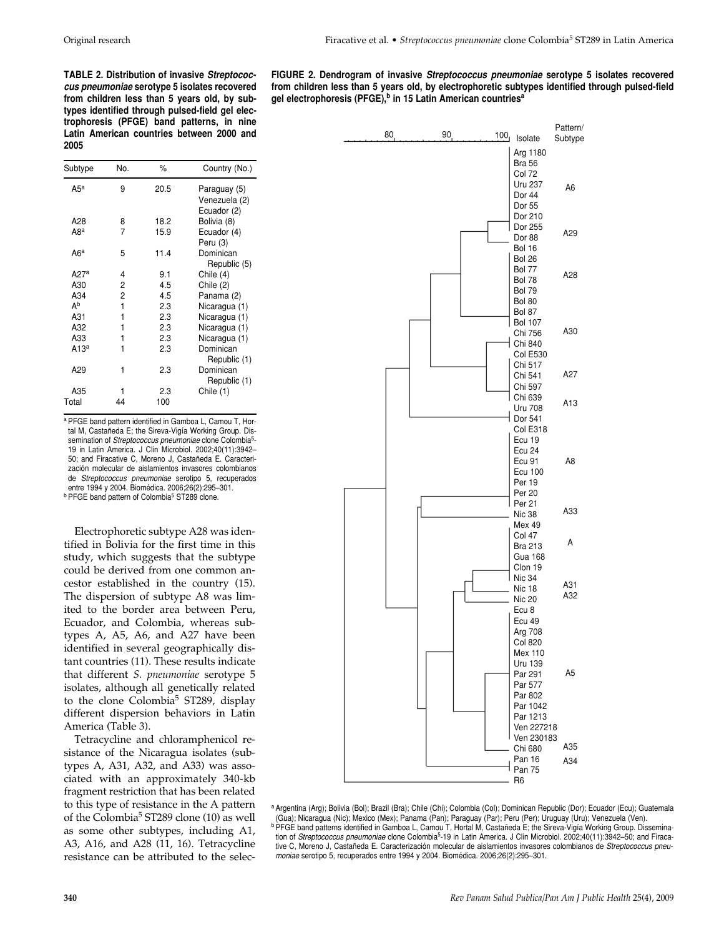Original research Firacative et al. • *Streptococcus pneumoniae* clone Colombia5 ST289 in Latin America

**TABLE 2. Distribution of invasive Streptococcus pneumoniae serotype 5 isolates recovered from children less than 5 years old, by subtypes identified through pulsed-field gel electrophoresis (PFGE) band patterns, in nine Latin American countries between 2000 and 2005**

| Subtype          | No. | $\%$ | Country (No.)                                |
|------------------|-----|------|----------------------------------------------|
| $A5^a$           | 9   | 20.5 | Paraguay (5)<br>Venezuela (2)<br>Ecuador (2) |
| A28              | 8   | 18.2 | Bolivia (8)                                  |
| A8ª              | 7   | 15.9 | Ecuador (4)<br>Peru (3)                      |
| A6ª              | 5   | 11.4 | Dominican<br>Republic (5)                    |
| A27a             | 4   | 9.1  | Chile (4)                                    |
| A30              | 2   | 4.5  | Chile (2)                                    |
| A34              | 2   | 4.5  | Panama (2)                                   |
| Ab               | 1   | 2.3  | Nicaragua (1)                                |
| A31              | 1   | 2.3  | Nicaragua (1)                                |
| A32              | 1   | 2.3  | Nicaragua (1)                                |
| A33              | 1   | 2.3  | Nicaragua (1)                                |
| A13 <sup>a</sup> | 1   | 2.3  | Dominican<br>Republic (1)                    |
| A29              | 1   | 2.3  | Dominican<br>Republic (1)                    |
| A35              |     | 2.3  | Chile (1)                                    |
| Total            | 44  | 100  |                                              |

a PFGE band pattern identified in Gamboa L, Camou T, Hortal M, Castañeda E; the Sireva-Vigía Working Group. Dissemination of Streptococcus pneumoniae clone Colombia<sup>5</sup>-19 in Latin America. J Clin Microbiol. 2002;40(11):3942– 50; and Firacative C, Moreno J, Castañeda E. Caracterización molecular de aislamientos invasores colombianos de Streptococcus pneumoniae serotipo 5, recuperados entre 1994 y 2004. Biomédica. 2006;26(2):295–301. **b PFGE band pattern of Colombia<sup>5</sup> ST289 clone.** 

Electrophoretic subtype A28 was identified in Bolivia for the first time in this study, which suggests that the subtype could be derived from one common ancestor established in the country (15). The dispersion of subtype A8 was limited to the border area between Peru, Ecuador, and Colombia, whereas subtypes A, A5, A6, and A27 have been identified in several geographically distant countries (11). These results indicate that different *S. pneumoniae* serotype 5 isolates, although all genetically related to the clone Colombia<sup>5</sup> ST289, display different dispersion behaviors in Latin America (Table 3).

Tetracycline and chloramphenicol resistance of the Nicaragua isolates (subtypes A, A31, A32, and A33) was associated with an approximately 340-kb fragment restriction that has been related to this type of resistance in the A pattern of the Colombia<sup>5</sup> ST289 clone (10) as well as some other subtypes, including A1, A3, A16, and A28 (11, 16). Tetracycline resistance can be attributed to the selec-





<sup>a</sup> Argentina (Arg); Bolivia (Bol); Brazil (Bra); Chile (Chi); Colombia (Col); Dominican Republic (Dor); Ecuador (Ecu); Guatemala (Gua); Nicaragua (Nic); Mexico (Mex); Panama (Pan); Paraguay (Par); Peru (Per); Uruguay (Uru); Venezuela (Ven). **b PFGE band patterns identified in Gamboa L, Camou T, Hortal M, Castañeda E; the Sireva-Vigía Working Group. Dissemina**tion of Streptococcus pneumoniae clone Colombia<sup>5</sup>-19 in Latin America. J Clin Microbiol. 2002;40(11):3942-50; and Firacative C, Moreno J, Castañeda E. Caracterización molecular de aislamientos invasores colombianos de Streptococcus pneumoniae serotipo 5, recuperados entre 1994 y 2004. Biomédica. 2006;26(2):295–301.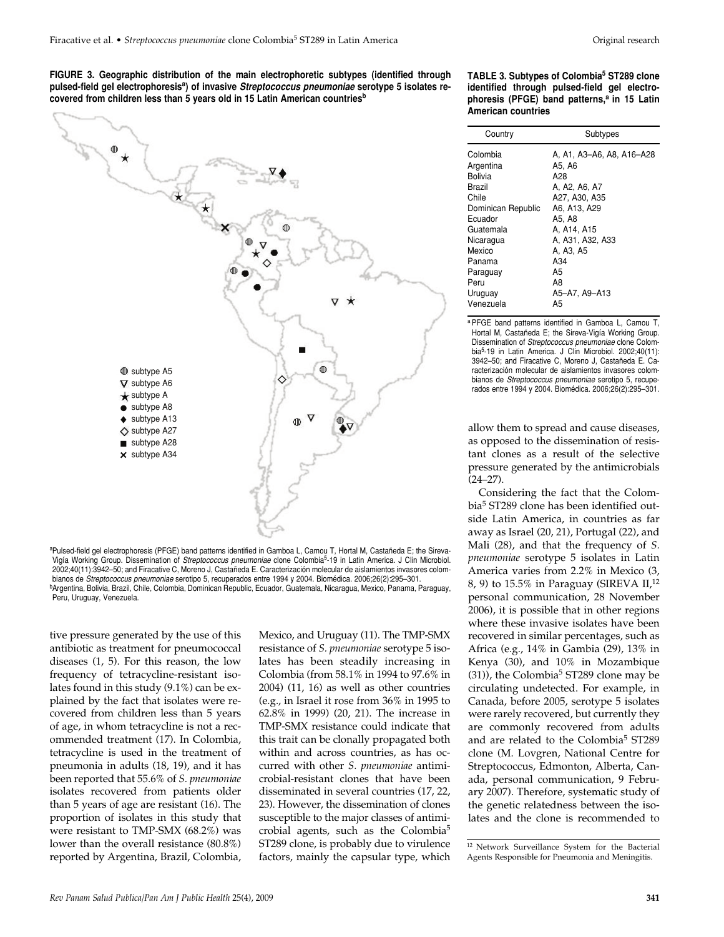**FIGURE 3. Geographic distribution of the main electrophoretic subtypes (identified through pulsed-field gel electrophoresisa) of invasive Streptococcus pneumoniae serotype 5 isolates recovered from children less than 5 years old in 15 Latin American countriesb**



aPulsed-field gel electrophoresis (PFGE) band patterns identified in Gamboa L, Camou T, Hortal M, Castañeda E; the Sireva-Vigía Working Group. Dissemination of Streptococcus pneumoniae clone Colombia5-19 in Latin America. J Clin Microbiol. 2002;40(11):3942–50; and Firacative C, Moreno J, Castañeda E. Caracterización molecular de aislamientos invasores colombianos de Streptococcus pneumoniae serotipo 5, recuperados entre 1994 y 2004. Biomédica. 2006;26(2):295–301. bArgentina, Bolivia, Brazil, Chile, Colombia, Dominican Republic, Ecuador, Guatemala, Nicaragua, Mexico, Panama, Paraguay, Peru, Uruguay, Venezuela.

tive pressure generated by the use of this antibiotic as treatment for pneumococcal diseases (1, 5). For this reason, the low frequency of tetracycline-resistant isolates found in this study (9.1%) can be explained by the fact that isolates were recovered from children less than 5 years of age, in whom tetracycline is not a recommended treatment (17). In Colombia, tetracycline is used in the treatment of pneumonia in adults (18, 19), and it has been reported that 55.6% of *S. pneumoniae* isolates recovered from patients older than 5 years of age are resistant (16). The proportion of isolates in this study that were resistant to TMP-SMX (68.2%) was lower than the overall resistance (80.8%) reported by Argentina, Brazil, Colombia,

Mexico, and Uruguay (11). The TMP-SMX resistance of *S. pneumoniae* serotype 5 isolates has been steadily increasing in Colombia (from 58.1% in 1994 to 97.6% in 2004) (11, 16) as well as other countries (e.g., in Israel it rose from 36% in 1995 to 62.8% in 1999) (20, 21). The increase in TMP-SMX resistance could indicate that this trait can be clonally propagated both within and across countries, as has occurred with other *S. pneumoniae* antimicrobial-resistant clones that have been disseminated in several countries (17, 22, 23). However, the dissemination of clones susceptible to the major classes of antimicrobial agents, such as the Colombia<sup>5</sup> ST289 clone, is probably due to virulence factors, mainly the capsular type, which

| TABLE 3. Subtypes of Colombia <sup>5</sup> ST289 clone  |  |  |
|---------------------------------------------------------|--|--|
| identified through pulsed-field gel electro-            |  |  |
| phoresis (PFGE) band patterns, <sup>a</sup> in 15 Latin |  |  |
| American countries                                      |  |  |

| Country                                                                                                                                                                        | Subtypes                                                                                                                                                                                         |  |  |
|--------------------------------------------------------------------------------------------------------------------------------------------------------------------------------|--------------------------------------------------------------------------------------------------------------------------------------------------------------------------------------------------|--|--|
| Colombia<br>Argentina<br>Bolivia<br>Brazil<br>Chile<br>Dominican Republic<br>Ecuador<br>Guatemala<br>Nicaragua<br>Mexico<br>Panama<br>Paraguay<br>Peru<br>Uruguay<br>Venezuela | A, A1, A3-A6, A8, A16-A28<br>A5, A6<br>A28<br>A, A2, A6, A7<br>A27, A30, A35<br>A6, A13, A29<br>A5. A8<br>A. A14. A15<br>A, A31, A32, A33<br>A, A3, A5<br>A34<br>A5<br>A8<br>A5-A7. A9-A13<br>A5 |  |  |
|                                                                                                                                                                                |                                                                                                                                                                                                  |  |  |

a PFGE band patterns identified in Gamboa L, Camou T, Hortal M, Castañeda E; the Sireva-Vigía Working Group. Dissemination of Streptococcus pneumoniae clone Colombia5-19 in Latin America. J Clin Microbiol. 2002;40(11): 3942–50; and Firacative C, Moreno J, Castañeda E. Caracterización molecular de aislamientos invasores colombianos de Streptococcus pneumoniae serotipo 5, recuperados entre 1994 y 2004. Biomédica. 2006;26(2):295–301.

allow them to spread and cause diseases, as opposed to the dissemination of resistant clones as a result of the selective pressure generated by the antimicrobials  $(24 - 27)$ .

Considering the fact that the Colombia5 ST289 clone has been identified outside Latin America, in countries as far away as Israel (20, 21), Portugal (22), and Mali (28), and that the frequency of *S. pneumoniae* serotype 5 isolates in Latin America varies from 2.2% in Mexico (3, 8, 9) to 15.5% in Paraguay (SIREVA II,<sup>12</sup> personal communication, 28 November 2006), it is possible that in other regions where these invasive isolates have been recovered in similar percentages, such as Africa (e.g., 14% in Gambia (29), 13% in Kenya (30), and 10% in Mozambique  $(31)$ ), the Colombia<sup>5</sup> ST289 clone may be circulating undetected. For example, in Canada, before 2005, serotype 5 isolates were rarely recovered, but currently they are commonly recovered from adults and are related to the Colombia<sup>5</sup> ST289 clone (M. Lovgren, National Centre for Streptococcus, Edmonton, Alberta, Canada, personal communication, 9 February 2007). Therefore, systematic study of the genetic relatedness between the isolates and the clone is recommended to

<sup>12</sup> Network Surveillance System for the Bacterial Agents Responsible for Pneumonia and Meningitis.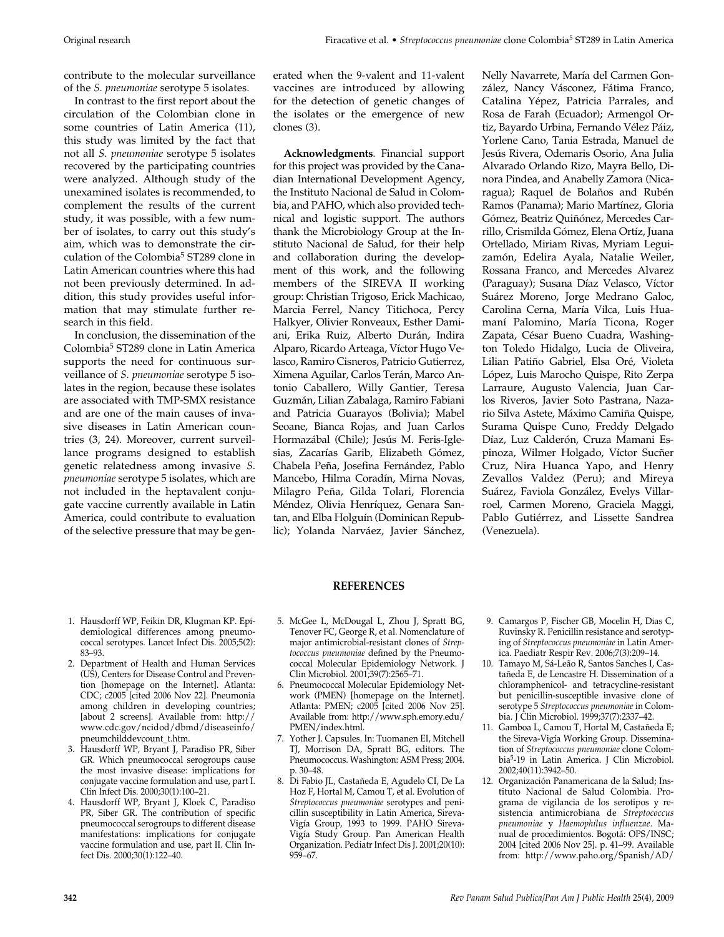contribute to the molecular surveillance of the *S. pneumoniae* serotype 5 isolates.

In contrast to the first report about the circulation of the Colombian clone in some countries of Latin America (11), this study was limited by the fact that not all *S. pneumoniae* serotype 5 isolates recovered by the participating countries were analyzed. Although study of the unexamined isolates is recommended, to complement the results of the current study, it was possible, with a few number of isolates, to carry out this study's aim, which was to demonstrate the circulation of the Colombia<sup>5</sup> ST289 clone in Latin American countries where this had not been previously determined. In addition, this study provides useful information that may stimulate further research in this field.

In conclusion, the dissemination of the Colombia5 ST289 clone in Latin America supports the need for continuous surveillance of *S. pneumoniae* serotype 5 isolates in the region, because these isolates are associated with TMP-SMX resistance and are one of the main causes of invasive diseases in Latin American countries (3, 24). Moreover, current surveillance programs designed to establish genetic relatedness among invasive *S. pneumoniae* serotype 5 isolates, which are not included in the heptavalent conjugate vaccine currently available in Latin America, could contribute to evaluation of the selective pressure that may be generated when the 9-valent and 11-valent vaccines are introduced by allowing for the detection of genetic changes of the isolates or the emergence of new clones (3).

**Acknowledgments**. Financial support for this project was provided by the Canadian International Development Agency, the Instituto Nacional de Salud in Colombia, and PAHO, which also provided technical and logistic support. The authors thank the Microbiology Group at the Instituto Nacional de Salud, for their help and collaboration during the development of this work, and the following members of the SIREVA II working group: Christian Trigoso, Erick Machicao, Marcia Ferrel, Nancy Titichoca, Percy Halkyer, Olivier Ronveaux, Esther Damiani, Erika Ruiz, Alberto Durán, Indira Alparo, Ricardo Arteaga, Víctor Hugo Velasco, Ramiro Cisneros, Patricio Gutierrez, Ximena Aguilar, Carlos Terán, Marco Antonio Caballero, Willy Gantier, Teresa Guzmán, Lilian Zabalaga, Ramiro Fabiani and Patricia Guarayos (Bolivia); Mabel Seoane, Bianca Rojas, and Juan Carlos Hormazábal (Chile); Jesús M. Feris-Iglesias, Zacarías Garib, Elizabeth Gómez, Chabela Peña, Josefina Fernández, Pablo Mancebo, Hilma Coradín, Mirna Novas, Milagro Peña, Gilda Tolari, Florencia Méndez, Olivia Henríquez, Genara Santan, and Elba Holguín (Dominican Republic); Yolanda Narváez, Javier Sánchez,

Nelly Navarrete, María del Carmen González, Nancy Vásconez, Fátima Franco, Catalina Yépez, Patricia Parrales, and Rosa de Farah (Ecuador); Armengol Ortiz, Bayardo Urbina, Fernando Vélez Páiz, Yorlene Cano, Tania Estrada, Manuel de Jesús Rivera, Odemaris Osorio, Ana Julia Alvarado Orlando Rizo, Mayra Bello, Dinora Pindea, and Anabelly Zamora (Nicaragua); Raquel de Bolaños and Rubén Ramos (Panama); Mario Martínez, Gloria Gómez, Beatriz Quiñónez, Mercedes Carrillo, Crismilda Gómez, Elena Ortíz, Juana Ortellado, Miriam Rivas, Myriam Leguizamón, Edelira Ayala, Natalie Weiler, Rossana Franco, and Mercedes Alvarez (Paraguay); Susana Díaz Velasco, Víctor Suárez Moreno, Jorge Medrano Galoc, Carolina Cerna, María Vilca, Luis Huamaní Palomino, María Ticona, Roger Zapata, César Bueno Cuadra, Washington Toledo Hidalgo, Lucia de Oliveira, Lilian Patiño Gabriel, Elsa Oré, Violeta López, Luis Marocho Quispe, Rito Zerpa Larraure, Augusto Valencia, Juan Carlos Riveros, Javier Soto Pastrana, Nazario Silva Astete, Máximo Camiña Quispe, Surama Quispe Cuno, Freddy Delgado Díaz, Luz Calderón, Cruza Mamani Espinoza, Wilmer Holgado, Víctor Sucñer Cruz, Nira Huanca Yapo, and Henry Zevallos Valdez (Peru); and Mireya Suárez, Faviola González, Evelys Villarroel, Carmen Moreno, Graciela Maggi, Pablo Gutiérrez, and Lissette Sandrea (Venezuela).

# **REFERENCES**

- 1. Hausdorff WP, Feikin DR, Klugman KP. Epidemiological differences among pneumococcal serotypes. Lancet Infect Dis. 2005;5(2): 83–93.
- 2. Department of Health and Human Services (US), Centers for Disease Control and Prevention [homepage on the Internet]. Atlanta: CDC; c2005 [cited 2006 Nov 22]. Pneumonia among children in developing countries; [about 2 screens]. Available from: http:// www.cdc.gov/ncidod/dbmd/diseaseinfo/ pneumchilddevcount\_t.htm.
- 3. Hausdorff WP, Bryant J, Paradiso PR, Siber GR. Which pneumococcal serogroups cause the most invasive disease: implications for conjugate vaccine formulation and use, part I. Clin Infect Dis. 2000;30(1):100–21.
- 4. Hausdorff WP, Bryant J, Kloek C, Paradiso PR, Siber GR. The contribution of specific pneumococcal serogroups to different disease manifestations: implications for conjugate vaccine formulation and use, part II. Clin Infect Dis. 2000;30(1):122–40.
- 5. McGee L, McDougal L, Zhou J, Spratt BG, Tenover FC, George R, et al. Nomenclature of major antimicrobial-resistant clones of *Streptococcus pneumoniae* defined by the Pneumococcal Molecular Epidemiology Network. J Clin Microbiol. 2001;39(7):2565–71.
- 6. Pneumococcal Molecular Epidemiology Network (PMEN) [homepage on the Internet]. Atlanta: PMEN; c2005 [cited 2006 Nov 25]. Available from: http://www.sph.emory.edu/ PMEN/index.html.
- 7. Yother J. Capsules. In: Tuomanen EI, Mitchell TJ, Morrison DA, Spratt BG, editors. The Pneumococcus. Washington: ASM Press; 2004. p. 30–48.
- 8. Di Fabio JL, Castañeda E, Agudelo CI, De La Hoz F, Hortal M, Camou T, et al. Evolution of *Streptococcus pneumoniae* serotypes and penicillin susceptibility in Latin America, Sireva-Vigía Group, 1993 to 1999. PAHO Sireva-Vigía Study Group. Pan American Health Organization. Pediatr Infect Dis J. 2001;20(10): 959–67.
- 9. Camargos P, Fischer GB, Mocelin H, Dias C, Ruvinsky R. Penicillin resistance and serotyping of *Streptococcus pneumoniae* in Latin America. Paediatr Respir Rev. 2006;7(3):209–14.
- 10. Tamayo M, Sá-Leão R, Santos Sanches I, Castañeda E, de Lencastre H. Dissemination of a chloramphenicol- and tetracycline-resistant but penicillin-susceptible invasive clone of serotype 5 *Streptococcus pneumoniae* in Colombia. J Clin Microbiol. 1999;37(7):2337–42.
- 11. Gamboa L, Camou T, Hortal M, Castañeda E; the Sireva-Vigía Working Group. Dissemination of *Streptococcus pneumoniae* clone Colombia5-19 in Latin America. J Clin Microbiol. 2002;40(11):3942–50.
- 12. Organización Panamericana de la Salud; Instituto Nacional de Salud Colombia. Programa de vigilancia de los serotipos y resistencia antimicrobiana de *Streptococcus pneumoniae* y *Haemophilus influenzae*. Manual de procedimientos. Bogotá: OPS/INSC; 2004 [cited 2006 Nov 25]. p. 41–99. Available from: http://www.paho.org/Spanish/AD/